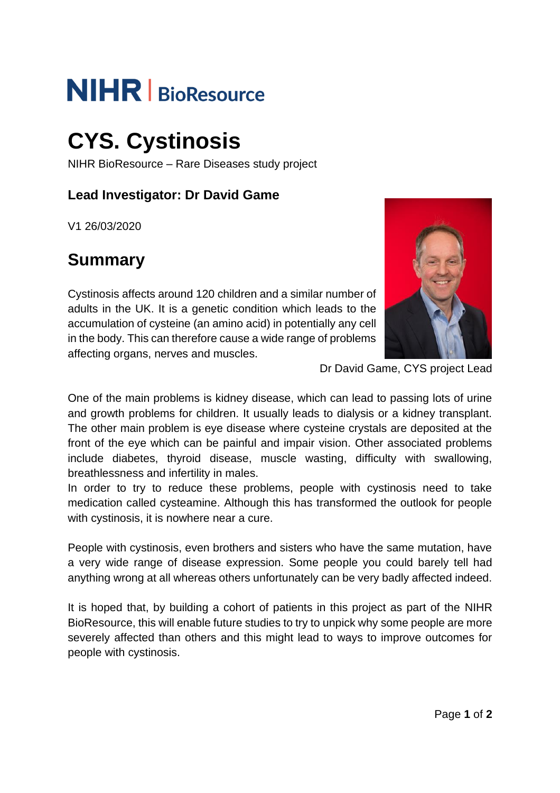# **NIHR** | BioResource

## **CYS. Cystinosis**

NIHR BioResource – Rare Diseases study project

#### **Lead Investigator: Dr David Game**

V1 26/03/2020

## **Summary**

Cystinosis affects around 120 children and a similar number of adults in the UK. It is a genetic condition which leads to the accumulation of cysteine (an amino acid) in potentially any cell in the body. This can therefore cause a wide range of problems affecting organs, nerves and muscles.



Dr David Game, CYS project Lead

One of the main problems is kidney disease, which can lead to passing lots of urine and growth problems for children. It usually leads to dialysis or a kidney transplant. The other main problem is eye disease where cysteine crystals are deposited at the front of the eye which can be painful and impair vision. Other associated problems include diabetes, thyroid disease, muscle wasting, difficulty with swallowing, breathlessness and infertility in males.

In order to try to reduce these problems, people with cystinosis need to take medication called cysteamine. Although this has transformed the outlook for people with cystinosis, it is nowhere near a cure.

People with cystinosis, even brothers and sisters who have the same mutation, have a very wide range of disease expression. Some people you could barely tell had anything wrong at all whereas others unfortunately can be very badly affected indeed.

It is hoped that, by building a cohort of patients in this project as part of the NIHR BioResource, this will enable future studies to try to unpick why some people are more severely affected than others and this might lead to ways to improve outcomes for people with cystinosis.